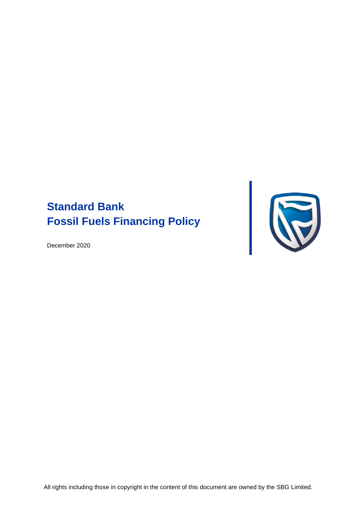# **Standard Bank Fossil Fuels Financing Policy**

December 2020



All rights including those in copyright in the content of this document are owned by the SBG Limited.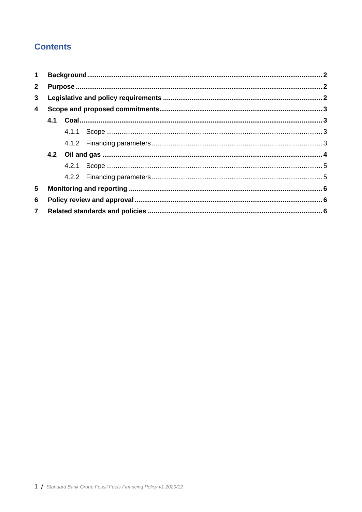# **Contents**

| $\mathbf 1$    |  |  |  |  |
|----------------|--|--|--|--|
| $\overline{2}$ |  |  |  |  |
| 3              |  |  |  |  |
| 4<br>5         |  |  |  |  |
|                |  |  |  |  |
|                |  |  |  |  |
|                |  |  |  |  |
|                |  |  |  |  |
|                |  |  |  |  |
|                |  |  |  |  |
|                |  |  |  |  |
| 6              |  |  |  |  |
| $\overline{7}$ |  |  |  |  |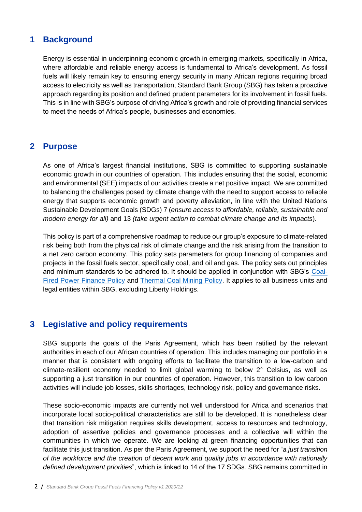# <span id="page-2-0"></span>**1 Background**

Energy is essential in underpinning economic growth in emerging markets, specifically in Africa, where affordable and reliable energy access is fundamental to Africa's development. As fossil fuels will likely remain key to ensuring energy security in many African regions requiring broad access to electricity as well as transportation, Standard Bank Group (SBG) has taken a proactive approach regarding its position and defined prudent parameters for its involvement in fossil fuels. This is in line with SBG's purpose of driving Africa's growth and role of providing financial services to meet the needs of Africa's people, businesses and economies.

### <span id="page-2-1"></span>**2 Purpose**

As one of Africa's largest financial institutions, SBG is committed to supporting sustainable economic growth in our countries of operation. This includes ensuring that the social, economic and environmental (SEE) impacts of our activities create a net positive impact. We are committed to balancing the challenges posed by climate change with the need to support access to reliable energy that supports economic growth and poverty alleviation, in line with the United Nations Sustainable Development Goals (SDGs) 7 (*ensure access to affordable, reliable, sustainable and modern energy for all)* and 13 *(take urgent action to combat climate change and its impacts*).

This policy is part of a comprehensive roadmap to reduce our group's exposure to climate-related risk being both from the physical risk of climate change and the risk arising from the transition to a net zero carbon economy. This policy sets parameters for group financing of companies and projects in the fossil fuels sector, specifically coal, and oil and gas. The policy sets out principles and minimum standards to be adhered to. It should be applied in conjunction with SBG's [Coal-](https://sustainability.standardbank.com/documents/coal-fired-power-finance-policy-2019.pdf)[Fired Power Finance Policy](https://sustainability.standardbank.com/documents/coal-fired-power-finance-policy-2019.pdf) and [Thermal Coal Mining Policy.](https://sustainability.standardbank.com/documents/thermal-coal-mining-finance-policy-2019.pdf) It applies to all business units and legal entities within SBG, excluding Liberty Holdings.

# <span id="page-2-2"></span>**3 Legislative and policy requirements**

SBG supports the goals of the Paris Agreement, which has been ratified by the relevant authorities in each of our African countries of operation. This includes managing our portfolio in a manner that is consistent with ongoing efforts to facilitate the transition to a low-carbon and climate-resilient economy needed to limit global warming to below 2° Celsius, as well as supporting a just transition in our countries of operation. However, this transition to low carbon activities will include job losses, skills shortages, technology risk, policy and governance risks.

These socio-economic impacts are currently not well understood for Africa and scenarios that incorporate local socio-political characteristics are still to be developed. It is nonetheless clear that transition risk mitigation requires skills development, access to resources and technology, adoption of assertive policies and governance processes and a collective will within the communities in which we operate. We are looking at green financing opportunities that can facilitate this just transition. As per the Paris Agreement, we support the need for "*a just transition of the workforce and the creation of decent work and quality jobs in accordance with nationally defined development priorities*", which is linked to 14 of the 17 SDGs. SBG remains committed in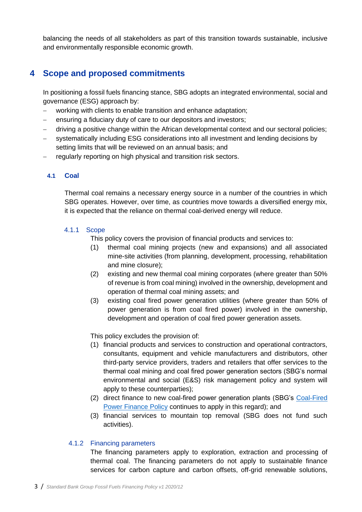balancing the needs of all stakeholders as part of this transition towards sustainable, inclusive and environmentally responsible economic growth.

# <span id="page-3-0"></span>**4 Scope and proposed commitments**

In positioning a fossil fuels financing stance, SBG adopts an integrated environmental, social and governance (ESG) approach by:

- − working with clients to enable transition and enhance adaptation;
- − ensuring a fiduciary duty of care to our depositors and investors;
- driving a positive change within the African developmental context and our sectoral policies;
- systematically including ESG considerations into all investment and lending decisions by setting limits that will be reviewed on an annual basis; and
- regularly reporting on high physical and transition risk sectors.

#### <span id="page-3-1"></span>**4.1 Coal**

Thermal coal remains a necessary energy source in a number of the countries in which SBG operates. However, over time, as countries move towards a diversified energy mix, it is expected that the reliance on thermal coal-derived energy will reduce.

#### <span id="page-3-2"></span>4.1.1 Scope

This policy covers the provision of financial products and services to:

- (1) thermal coal mining projects (new and expansions) and all associated mine-site activities (from planning, development, processing, rehabilitation and mine closure);
- (2) existing and new thermal coal mining corporates (where greater than 50% of revenue is from coal mining) involved in the ownership, development and operation of thermal coal mining assets; and
- (3) existing coal fired power generation utilities (where greater than 50% of power generation is from coal fired power) involved in the ownership, development and operation of coal fired power generation assets.

This policy excludes the provision of:

- (1) financial products and services to construction and operational contractors, consultants, equipment and vehicle manufacturers and distributors, other third-party service providers, traders and retailers that offer services to the thermal coal mining and coal fired power generation sectors (SBG's normal environmental and social (E&S) risk management policy and system will apply to these counterparties);
- (2) direct finance to new coal-fired power generation plants (SBG's [Coal-Fired](https://sustainability.standardbank.com/documents/coal-fired-power-finance-policy-2019.pdf)  [Power Finance Policy](https://sustainability.standardbank.com/documents/coal-fired-power-finance-policy-2019.pdf) continues to apply in this regard); and
- (3) financial services to mountain top removal (SBG does not fund such activities).

#### <span id="page-3-3"></span>4.1.2 Financing parameters

The financing parameters apply to exploration, extraction and processing of thermal coal. The financing parameters do not apply to sustainable finance services for carbon capture and carbon offsets, off-grid renewable solutions,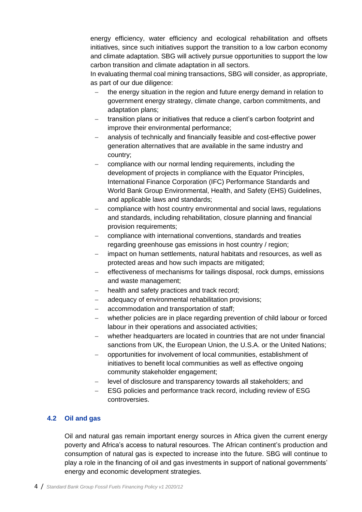energy efficiency, water efficiency and ecological rehabilitation and offsets initiatives, since such initiatives support the transition to a low carbon economy and climate adaptation. SBG will actively pursue opportunities to support the low carbon transition and climate adaptation in all sectors.

In evaluating thermal coal mining transactions, SBG will consider, as appropriate, as part of our due diligence:

- the energy situation in the region and future energy demand in relation to government energy strategy, climate change, carbon commitments, and adaptation plans;
- transition plans or initiatives that reduce a client's carbon footprint and improve their environmental performance;
- analysis of technically and financially feasible and cost-effective power generation alternatives that are available in the same industry and country;
- − compliance with our normal lending requirements, including the development of projects in compliance with the Equator Principles, International Finance Corporation (IFC) Performance Standards and World Bank Group Environmental, Health, and Safety (EHS) Guidelines, and applicable laws and standards;
- compliance with host country environmental and social laws, regulations and standards, including rehabilitation, closure planning and financial provision requirements;
- compliance with international conventions, standards and treaties regarding greenhouse gas emissions in host country / region;
- impact on human settlements, natural habitats and resources, as well as protected areas and how such impacts are mitigated;
- effectiveness of mechanisms for tailings disposal, rock dumps, emissions and waste management;
- health and safety practices and track record;
- adequacy of environmental rehabilitation provisions;
- accommodation and transportation of staff:
- − whether policies are in place regarding prevention of child labour or forced labour in their operations and associated activities;
- − whether headquarters are located in countries that are not under financial sanctions from UK, the European Union, the U.S.A. or the United Nations;
- − opportunities for involvement of local communities, establishment of initiatives to benefit local communities as well as effective ongoing community stakeholder engagement;
- level of disclosure and transparency towards all stakeholders; and
- ESG policies and performance track record, including review of ESG controversies.

#### <span id="page-4-0"></span>**4.2 Oil and gas**

Oil and natural gas remain important energy sources in Africa given the current energy poverty and Africa's access to natural resources. The African continent's production and consumption of natural gas is expected to increase into the future. SBG will continue to play a role in the financing of oil and gas investments in support of national governments' energy and economic development strategies.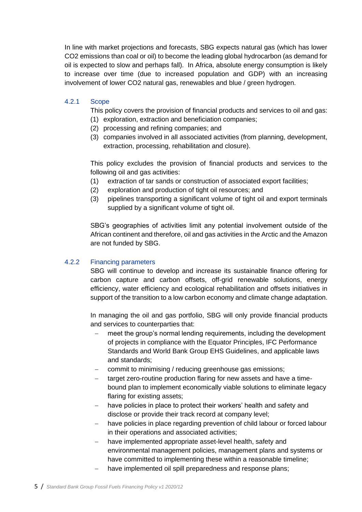In line with market projections and forecasts, SBG expects natural gas (which has lower CO2 emissions than coal or oil) to become the leading global hydrocarbon (as demand for oil is expected to slow and perhaps fall). In Africa, absolute energy consumption is likely to increase over time (due to increased population and GDP) with an increasing involvement of lower CO2 natural gas, renewables and blue / green hydrogen.

#### <span id="page-5-0"></span>4.2.1 Scope

This policy covers the provision of financial products and services to oil and gas:

- (1) exploration, extraction and beneficiation companies;
- (2) processing and refining companies; and
- (3) companies involved in all associated activities (from planning, development, extraction, processing, rehabilitation and closure).

This policy excludes the provision of financial products and services to the following oil and gas activities:

- (1) extraction of tar sands or construction of associated export facilities;
- (2) exploration and production of tight oil resources; and
- (3) pipelines transporting a significant volume of tight oil and export terminals supplied by a significant volume of tight oil.

SBG's geographies of activities limit any potential involvement outside of the African continent and therefore, oil and gas activities in the Arctic and the Amazon are not funded by SBG.

#### <span id="page-5-1"></span>4.2.2 Financing parameters

SBG will continue to develop and increase its sustainable finance offering for carbon capture and carbon offsets, off-grid renewable solutions, energy efficiency, water efficiency and ecological rehabilitation and offsets initiatives in support of the transition to a low carbon economy and climate change adaptation.

In managing the oil and gas portfolio, SBG will only provide financial products and services to counterparties that:

- meet the group's normal lending requirements, including the development of projects in compliance with the Equator Principles, IFC Performance Standards and World Bank Group EHS Guidelines, and applicable laws and standards;
- commit to minimising / reducing greenhouse gas emissions;
- − target zero-routine production flaring for new assets and have a timebound plan to implement economically viable solutions to eliminate legacy flaring for existing assets;
- have policies in place to protect their workers' health and safety and disclose or provide their track record at company level;
- have policies in place regarding prevention of child labour or forced labour in their operations and associated activities;
- have implemented appropriate asset-level health, safety and environmental management policies, management plans and systems or have committed to implementing these within a reasonable timeline;
- have implemented oil spill preparedness and response plans;